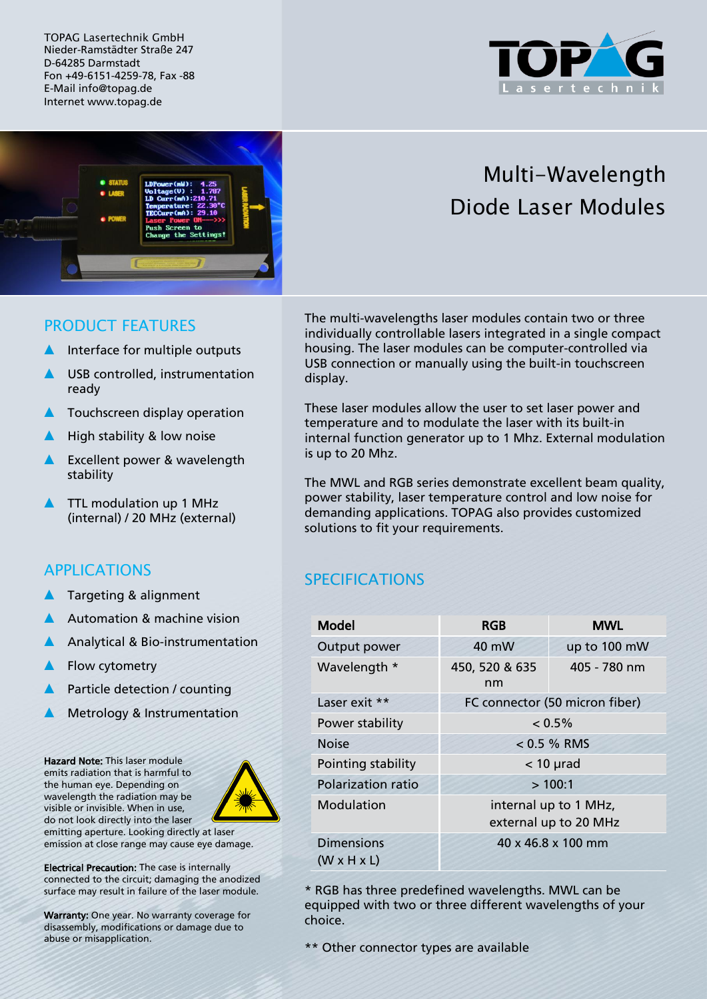TOPAG Lasertechnik GmbH Nieder-Ramstädter Straße 247 D-64285 Darmstadt Fon +49-6151-4259-78, Fax -88 E-Mail info@topag.de Internet www.topag.de





# Multi-Wavelength Diode Laser Modules

#### PRODUCT FEATURES

- Interface for multiple outputs
- ▲ USB controlled, instrumentation ready
- **A** Touchscreen display operation
- High stability & low noise
- ▲ Excellent power & wavelength stability
- TTL modulation up 1 MHz (internal) / 20 MHz (external)

# APPLICATIONS

- Targeting & alignment
- Automation & machine vision
- Analytical & Bio-instrumentation
- ▲ Flow cytometry
- Particle detection / counting
- Metrology & Instrumentation

Hazard Note: This laser module emits radiation that is harmful to the human eye. Depending on wavelength the radiation may be visible or invisible. When in use, do not look directly into the laser



emitting aperture. Looking directly at laser emission at close range may cause eye damage.

Electrical Precaution: The case is internally connected to the circuit; damaging the anodized surface may result in failure of the laser module.

Warranty: One year. No warranty coverage for disassembly, modifications or damage due to abuse or misapplication.

The multi-wavelengths laser modules contain two or three individually controllable lasers integrated in a single compact housing. The laser modules can be computer-controlled via USB connection or manually using the built-in touchscreen display.

These laser modules allow the user to set laser power and temperature and to modulate the laser with its built-in internal function generator up to 1 Mhz. External modulation is up to 20 Mhz.

The MWL and RGB series demonstrate excellent beam quality, power stability, laser temperature control and low noise for demanding applications. TOPAG also provides customized solutions to fit your requirements.

# **SPECIFICATIONS**

| <b>Model</b>                                 | <b>RGB</b>                                     | <b>MWL</b>     |
|----------------------------------------------|------------------------------------------------|----------------|
| Output power                                 | 40 mW                                          | up to 100 mW   |
| Wavelength *                                 | 450, 520 & 635<br>nm                           | $405 - 780$ nm |
| Laser exit **                                | FC connector (50 micron fiber)                 |                |
| Power stability                              | $< 0.5\%$                                      |                |
| <b>Noise</b>                                 | $< 0.5 \%$ RMS                                 |                |
| Pointing stability                           | $<$ 10 $\mu$ rad                               |                |
| <b>Polarization ratio</b>                    | >100:1                                         |                |
| Modulation                                   | internal up to 1 MHz,<br>external up to 20 MHz |                |
| <b>Dimensions</b><br>$(W \times H \times L)$ | $40 \times 46.8 \times 100$ mm                 |                |

\* RGB has three predefined wavelengths. MWL can be equipped with two or three different wavelengths of your choice.

\*\* Other connector types are available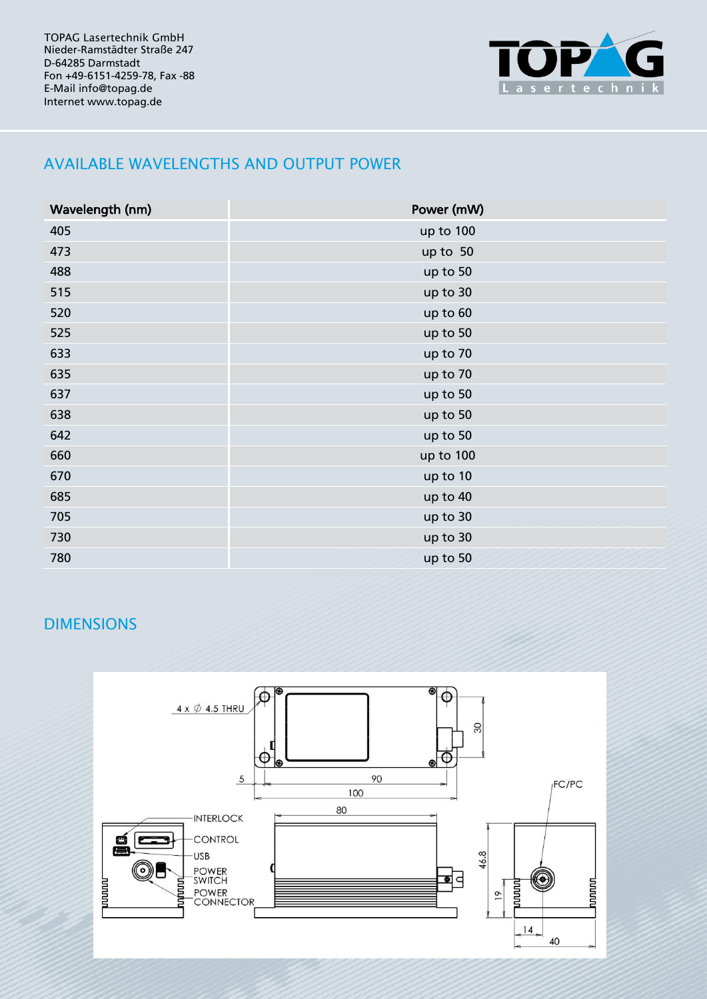TOPAG Lasertechnik GmbH Nieder-Ramstädter Straße 247 D-64285 Darmstadt Fon +49-6151-4259-78, Fax -88 E-Mail info@topag.de Internet www.topag.de



# AVAILABLE WAVELENGTHS AND OUTPUT POWER

| Wavelength (nm) | Power (mW) |  |
|-----------------|------------|--|
| 405             | up to 100  |  |
| 473             | up to 50   |  |
| 488             | up to 50   |  |
| 515             | up to 30   |  |
| 520             | up to 60   |  |
| 525             | up to 50   |  |
| 633             | up to 70   |  |
| 635             | up to 70   |  |
| 637             | up to 50   |  |
| 638             | up to 50   |  |
| 642             | up to 50   |  |
| 660             | up to 100  |  |
| 670             | up to 10   |  |
| 685             | up to 40   |  |
| 705             | up to 30   |  |
| 730             | up to 30   |  |
| 780             | up to 50   |  |

# DIMENSIONS